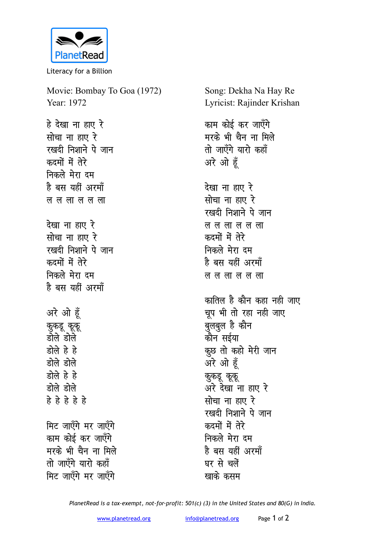

Literacy for a Billion

Movie: Bombay To Goa (1972) Year: 1972 हे देखा ना हाए रे

**kid kid alk रखदी निशाने पे जान** कदमों में तेरे **निकले** मेरा दम है बस यहीं अरमॉ <u>ल ल ला</u>ल ल ला <u>देखा ना हाए रे</u> **killed** and  $\vec{r}$ रखदी निशाने पे जान कदमों में तेरे **निकले मेरा दम** है बस यहीं अरमाँ अरे ओ हूँ *कु*कडू कूकू <u>डोले डोले</u> डोले हे हे डोले डोले डोले हे हे <u>स्रोले स्रोले</u> **gs gs gs gs gs** 

**मिट जाएँगे मर जाएँगे** काम कोई कर जाएँगे मरके भी चैन ना मिले <u>तो जाएँगे यारो कहाँ</u> **मिट जाएँगे मर जाएँगे** 

Song: Dekha Na Hay Re Lyricist: Rajinder Krishan

काम कोई कर जाएँगे मरके भी चैन ना मिले <u>तो जाएँगे यारो कहाँ</u> अरे ओ हूँ

<u>देखा ना हाए रे</u> **सोचा ना हाए रे** *रख*दी निशाने पे जान ल ल ला ल ल ला कदमों में तेर<del>े</del> **निकले** मेरा दम है बस यहीं अरमॉं **ल ल ला ल ला** 

कातिल है कौन कहा नही जाए चूप भी तो रहा नही जाए <del>्</del><br>बुलबुल है कौन कौन सईया कूछ तो कहो मेरी जान अरे ओ हूँ कुकडू कूकू अरे देखा ना हाए रे <u>सोचा ना हाए रे</u> रखदी निशाने पे जान कदमों में तेर<del>े</del> **निकले** मेरा दम है बस यहीं अरमॉं घर से चलें **खाके** कसम

*PlanetRead is a tax-exempt, not-for-profit: 501(c) (3) in the United States and 80(G) in India.*